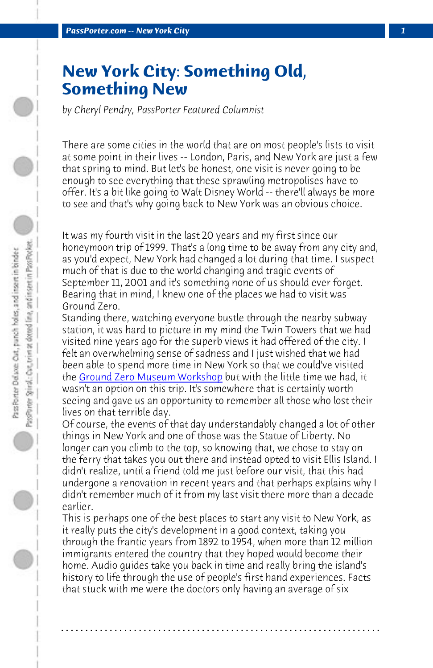**PassPorter.com -- New York City** 

## **New York City: Something Old, Something New**

*by Cheryl Pendry, PassPorter Featured Columnist*

There are some cities in the world that are on most people's lists to visit at some point in their lives -- London, Paris, and New York are just a few that spring to mind. But let's be honest, one visit is never going to be eno[ugh to see everything that these s](http://www.groundzeromuseumworkshop.com/lh.htm)prawling metropolises have to offer. It's a bit like going to Walt Disney World -- there'll always be more to see and that's why going back to New York was an obvious choice.

It was my fourth visit in the last 20 years and my first since our honeymoon trip of 1999. That's a long time to be away from any city and, as you'd expect, New York had changed a lot during that time. I suspect much of that is due to the world changing and tragic events of September 11, 2001 and it's something none of us should ever forget. Bearing that in mind, I knew one of the places we had to visit was Ground Zero.

Standing there, watching everyone bustle through the nearby subway station, it was hard to picture in my mind the Twin Towers that we had visited nine years ago for the superb views it had offered of the city. I felt an overwhelming sense of sadness and I just wished that we had been able to spend more time in New York so that we could've visited the <u>Ground Zero Museum Workshop</u> but with the little time we had, it wasn't an option on this trip. It's somewhere that is certainly worth seeing and gave us an opportunity to remember all those who lost their lives on that terrible day.

Of course, the events of that day understandably changed a lot of other things in New York and one of those was the Statue of Liberty. No longer can you climb to the top, so knowing that, we chose to stay on the ferry that takes you out there and instead opted to visit Ellis Island. I didn't realize, until a friend told me just before our visit, that this had undergone a renovation in recent years and that perhaps explains why I didn't remember much of it from my last visit there more than a decade earlier.

This is perhaps one of the best places to start any visit to New York, as it really puts the city's development in a good context, taking you through the frantic years from 1892 to 1954, when more than 12 million immigrants entered the country that they hoped would become their home. Audio guides take you back in time and really bring the island's history to life through the use of people's first hand experiences. Facts that stuck with me were the doctors only having an average of six

**. . . . . . . . . . . . . . . . . . . . . . . . . . . . . . . . . . . . . . . . . . . . . . . . . . . . . . . . . . . . . . . . . .**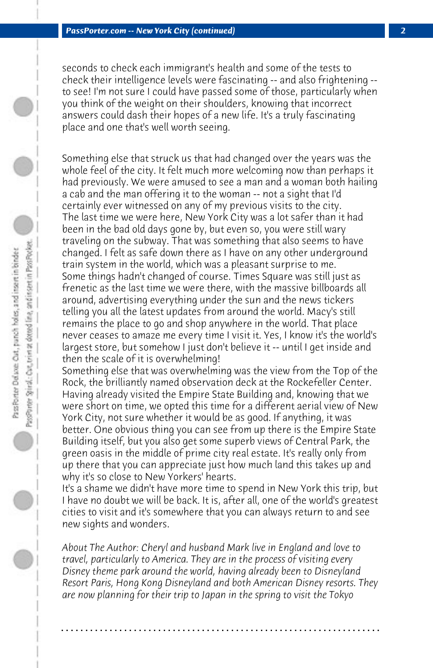seconds to check each immigrant's health and some of the tests to check their intelligence levels were fascinating -- and also frightening - to see! I'm not sure I could have passed some of those, particularly when you think of the weight on their shoulders, knowing that incorrect answers could dash their hopes of a new life. It's a truly fascinating place and one that's well worth seeing.

Something else that struck us that had changed over the years was the whole feel of the city. It felt much more welcoming now than perhaps it had previously. We were amused to see a man and a woman both hailing a cab and the man offering it to the woman -- not a sight that I'd certainly ever witnessed on any of my previous visits to the city. The last time we were here, New York City was a lot safer than it had been in the bad old days gone by, but even so, you were still wary traveling on the subway. That was something that also seems to have changed. I felt as safe down there as I have on any other underground train system in the world, which was a pleasant surprise to me. Some things hadn't changed of course. Times Square was still just as frenetic as the last time we were there, with the massive billboards all around, advertising everything under the sun and the news tickers telling you all the latest updates from around the world. Macy's still remains the place to go and shop anywhere in the world. That place never ceases to amaze me every time I visit it. Yes, I know it's the world's largest store, but somehow I just don't believe it -- until I get inside and then the scale of it is overwhelming!

Something else that was overwhelming was the view from the Top of the Rock, the brilliantly named observation deck at the Rockefeller Center. Having already visited the Empire State Building and, knowing that we were short on time, we opted this time for a different aerial view of New York City, not sure whether it would be as good. If anything, it was better. One obvious thing you can see from up there is the Empire State Building itself, but you also get some superb views of Central Park, the green oasis in the middle of prime city real estate. It's really only from up there that you can appreciate just how much land this takes up and why it's so close to New Yorkers' hearts.

It's a shame we didn't have more time to spend in New York this trip, but I have no doubt we will be back. It is, after all, one of the world's greatest cities to visit and it's somewhere that you can always return to and see new sights and wonders.

*About The Author: Cheryl and husband Mark live in England and love to travel, particularly to America. They are in the process of visiting every Disney theme park around the world, having already been to Disneyland Resort Paris, Hong Kong Disneyland and both American Disney resorts. They are now planning for their trip to Japan in the spring to visit the Tokyo*

**. . . . . . . . . . . . . . . . . . . . . . . . . . . . . . . . . . . . . . . . . . . . . . . . . . . . . . . . . . . . . . . . . .**